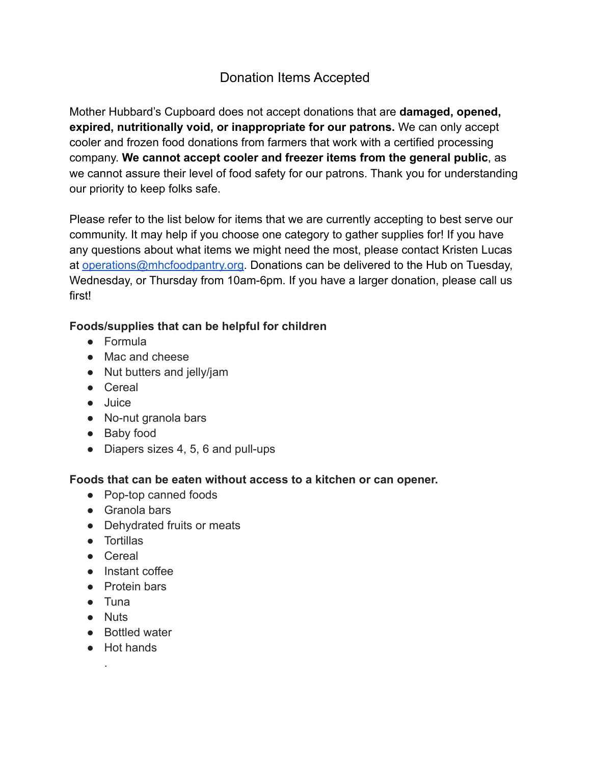# Donation Items Accepted

Mother Hubbard's Cupboard does not accept donations that are **damaged, opened, expired, nutritionally void, or inappropriate for our patrons.** We can only accept cooler and frozen food donations from farmers that work with a certified processing company. **We cannot accept cooler and freezer items from the general public**, as we cannot assure their level of food safety for our patrons. Thank you for understanding our priority to keep folks safe.

Please refer to the list below for items that we are currently accepting to best serve our community. It may help if you choose one category to gather supplies for! If you have any questions about what items we might need the most, please contact Kristen Lucas at [operations@mhcfoodpantry.org.](mailto:operations@mhcfoodpantry.org) Donations can be delivered to the Hub on Tuesday, Wednesday, or Thursday from 10am-6pm. If you have a larger donation, please call us first!

## **Foods/supplies that can be helpful for children**

- Formula
- Mac and cheese
- Nut butters and jelly/jam
- Cereal
- Juice
- No-nut granola bars
- Baby food
- Diapers sizes 4, 5, 6 and pull-ups

### **Foods that can be eaten without access to a kitchen or can opener.**

- Pop-top canned foods
- Granola bars
- Dehydrated fruits or meats
- Tortillas
- Cereal
- Instant coffee
- Protein bars
- Tuna
- Nuts

.

- Bottled water
- Hot hands